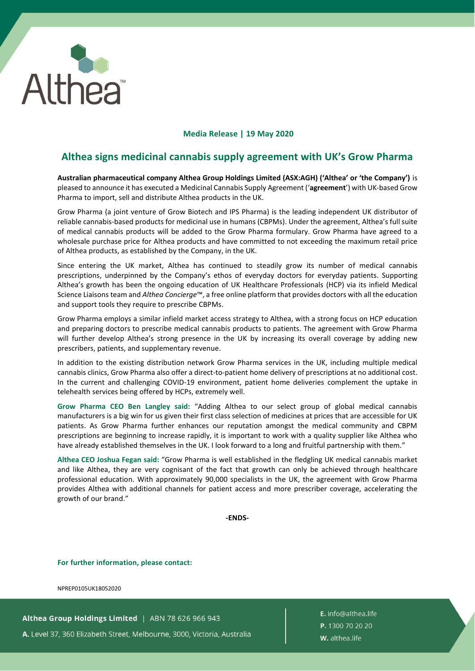

## **Media Release | 19 May 2020**

## **Althea signs medicinal cannabis supply agreement with UK's Grow Pharma**

**Australian pharmaceutical company Althea Group Holdings Limited (ASX:AGH) ('Althea' or 'the Company')** is pleased to announce it has executed a Medicinal Cannabis Supply Agreement ('**agreement**') with UK-based Grow Pharma to import, sell and distribute Althea products in the UK.

Grow Pharma (a joint venture of Grow Biotech and IPS Pharma) is the leading independent UK distributor of reliable cannabis-based products for medicinal use in humans (CBPMs). Under the agreement, Althea's full suite of medical cannabis products will be added to the Grow Pharma formulary. Grow Pharma have agreed to a wholesale purchase price for Althea products and have committed to not exceeding the maximum retail price of Althea products, as established by the Company, in the UK.

Since entering the UK market, Althea has continued to steadily grow its number of medical cannabis prescriptions, underpinned by the Company's ethos of everyday doctors for everyday patients. Supporting Althea's growth has been the ongoing education of UK Healthcare Professionals (HCP) via its infield Medical Science Liaisons team and *Althea Concierge*™, a free online platform that provides doctors with all the education and support tools they require to prescribe CBPMs.

Grow Pharma employs a similar infield market access strategy to Althea, with a strong focus on HCP education and preparing doctors to prescribe medical cannabis products to patients. The agreement with Grow Pharma will further develop Althea's strong presence in the UK by increasing its overall coverage by adding new prescribers, patients, and supplementary revenue.

In addition to the existing distribution network Grow Pharma services in the UK, including multiple medical cannabis clinics, Grow Pharma also offer a direct-to-patient home delivery of prescriptions at no additional cost. In the current and challenging COVID-19 environment, patient home deliveries complement the uptake in telehealth services being offered by HCPs, extremely well.

**Grow Pharma CEO Ben Langley said:** "Adding Althea to our select group of global medical cannabis manufacturers is a big win for us given their first class selection of medicines at prices that are accessible for UK patients. As Grow Pharma further enhances our reputation amongst the medical community and CBPM prescriptions are beginning to increase rapidly, it is important to work with a quality supplier like Althea who have already established themselves in the UK. I look forward to a long and fruitful partnership with them."

**Althea CEO Joshua Fegan said:** "Grow Pharma is well established in the fledgling UK medical cannabis market and like Althea, they are very cognisant of the fact that growth can only be achieved through healthcare professional education. With approximately 90,000 specialists in the UK, the agreement with Grow Pharma provides Althea with additional channels for patient access and more prescriber coverage, accelerating the growth of our brand."

**-ENDS-**

**For further information, please contact:**

NPREP0105UK18052020

Althea Group Holdings Limited | ABN 78 626 966 943 A. Level 37, 360 Elizabeth Street, Melbourne, 3000, Victoria, Australia E. info@althea.life P. 1300 70 20 20 W. althea.life